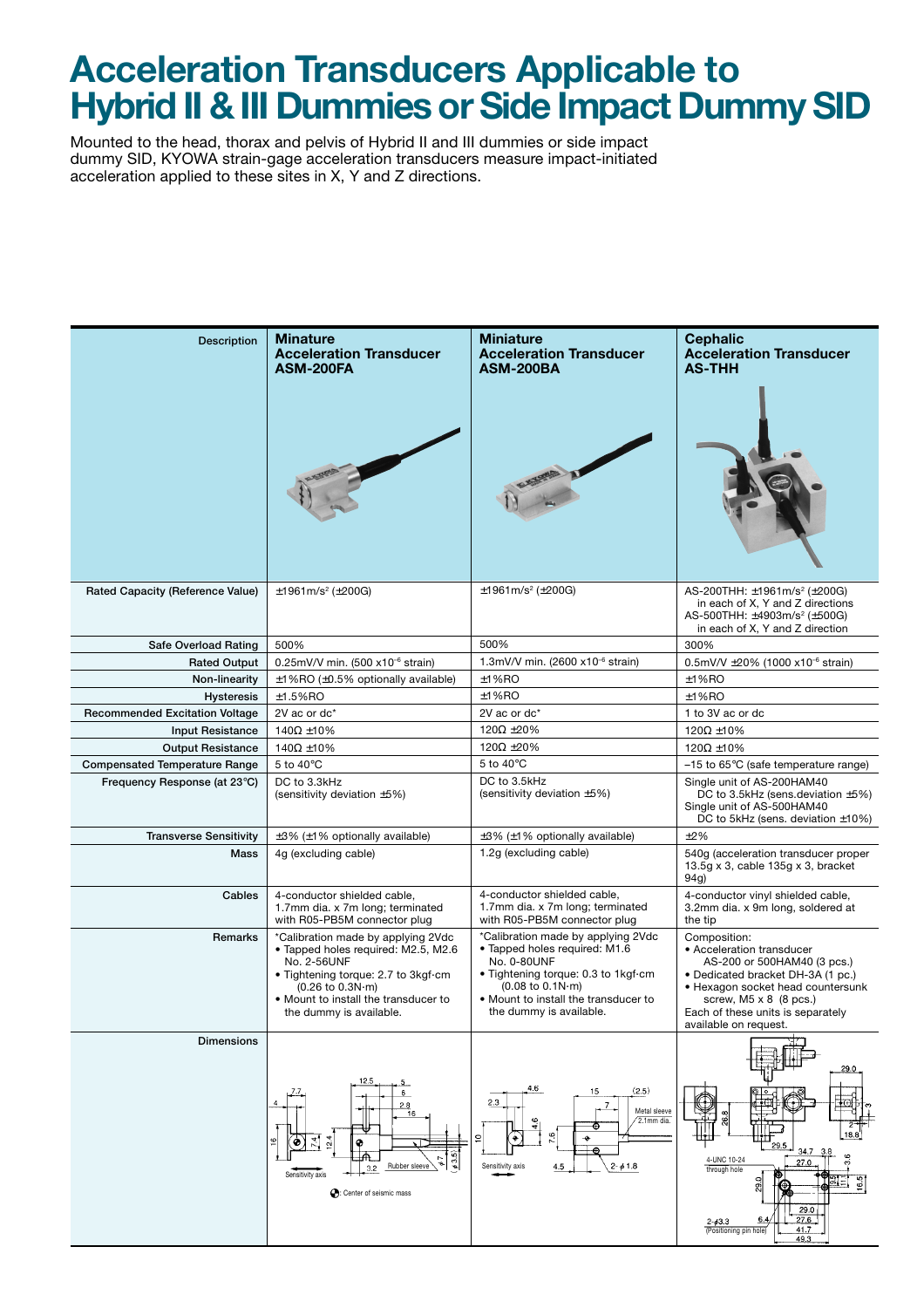## **Acceleration Transducers Applicable to Hybrid II & III Dummies or Side Impact Dummy SID**

Mounted to the head, thorax and pelvis of Hybrid II and III dummies or side impact dummy SID, KYOWA strain-gage acceleration transducers measure impact-initiated acceleration applied to these sites in X, Y and Z directions.

| <b>Description</b>                                                   | <b>Minature</b><br><b>Acceleration Transducer</b><br>ASM-200FA                                                                                                                                                         | <b>Miniature</b><br><b>Acceleration Transducer</b><br><b>ASM-200BA</b>                                                                                                                                                                           | <b>Cephalic</b><br><b>Acceleration Transducer</b><br><b>AS-THH</b>                                                                                                                                                                               |  |
|----------------------------------------------------------------------|------------------------------------------------------------------------------------------------------------------------------------------------------------------------------------------------------------------------|--------------------------------------------------------------------------------------------------------------------------------------------------------------------------------------------------------------------------------------------------|--------------------------------------------------------------------------------------------------------------------------------------------------------------------------------------------------------------------------------------------------|--|
| Rated Capacity (Reference Value)                                     | $\pm$ 1961m/s <sup>2</sup> ( $\pm$ 200G)                                                                                                                                                                               | ±1961m/s² (±200G)                                                                                                                                                                                                                                | AS-200THH: $\pm$ 1961m/s <sup>2</sup> ( $\pm$ 200G)<br>in each of X, Y and Z directions<br>AS-500THH: $\pm$ 4903m/s <sup>2</sup> ( $\pm$ 500G)<br>in each of X, Y and Z direction                                                                |  |
| Safe Overload Rating                                                 | 500%                                                                                                                                                                                                                   | 500%                                                                                                                                                                                                                                             | 300%                                                                                                                                                                                                                                             |  |
| <b>Rated Output</b>                                                  | 0.25mV/V min. (500 x10 <sup>-6</sup> strain)                                                                                                                                                                           | 1.3mV/V min. (2600 x10 <sup>-6</sup> strain)                                                                                                                                                                                                     | 0.5mV/V $\pm$ 20% (1000 x10 <sup>-6</sup> strain)                                                                                                                                                                                                |  |
| Non-linearity                                                        | $±1\%$ RO ( $±0.5\%$ optionally available)                                                                                                                                                                             | $±1%$ RO                                                                                                                                                                                                                                         | $±1%$ RO                                                                                                                                                                                                                                         |  |
| <b>Hysteresis</b>                                                    | $±1.5%$ RO                                                                                                                                                                                                             | $±1%$ RO                                                                                                                                                                                                                                         | ±1%RO                                                                                                                                                                                                                                            |  |
| <b>Recommended Excitation Voltage</b>                                | 2V ac or dc*                                                                                                                                                                                                           | 2V ac or dc*                                                                                                                                                                                                                                     | 1 to 3V ac or dc                                                                                                                                                                                                                                 |  |
| <b>Input Resistance</b>                                              | $140\Omega \pm 10\%$                                                                                                                                                                                                   | 120 $\Omega$ ±20%                                                                                                                                                                                                                                | 120 $\Omega$ ±10%                                                                                                                                                                                                                                |  |
| <b>Output Resistance</b>                                             | $140\Omega \pm 10\%$                                                                                                                                                                                                   | 120 $\Omega$ ±20%<br>5 to 40°C                                                                                                                                                                                                                   | 120 $\Omega$ ±10%                                                                                                                                                                                                                                |  |
| <b>Compensated Temperature Range</b><br>Frequency Response (at 23°C) | 5 to $40^{\circ}$ C<br>DC to 3.3kHz                                                                                                                                                                                    | DC to 3.5kHz                                                                                                                                                                                                                                     | $-15$ to 65 $\degree$ C (safe temperature range)<br>Single unit of AS-200HAM40                                                                                                                                                                   |  |
|                                                                      | (sensitivity deviation ±5%)                                                                                                                                                                                            | (sensitivity deviation ±5%)                                                                                                                                                                                                                      | DC to 3.5kHz (sens.deviation $\pm$ 5%)<br>Single unit of AS-500HAM40<br>DC to 5kHz (sens. deviation $\pm 10\%$ )                                                                                                                                 |  |
| <b>Transverse Sensitivity</b>                                        | $\pm 3\%$ ( $\pm 1\%$ optionally available)                                                                                                                                                                            | $\pm 3\%$ ( $\pm 1\%$ optionally available)                                                                                                                                                                                                      | ±2%                                                                                                                                                                                                                                              |  |
| Mass                                                                 | 4g (excluding cable)                                                                                                                                                                                                   | 1.2g (excluding cable)                                                                                                                                                                                                                           | 540g (acceleration transducer proper<br>13.5g $\times$ 3, cable 135g $\times$ 3, bracket<br>94g)                                                                                                                                                 |  |
| Cables                                                               | 4-conductor shielded cable,<br>1.7mm dia. x 7m long; terminated<br>with R05-PB5M connector plug                                                                                                                        | 4-conductor shielded cable,<br>1.7mm dia. x 7m long; terminated<br>with R05-PB5M connector plug                                                                                                                                                  | 4-conductor vinyl shielded cable,<br>3.2mm dia. x 9m long, soldered at<br>the tip                                                                                                                                                                |  |
| Remarks                                                              | *Calibration made by applying 2Vdc<br>· Tapped holes required: M2.5, M2.6<br>No. 2-56UNF<br>• Tightening torque: 2.7 to 3kgf-cm<br>(0.26 to 0.3N·m)<br>. Mount to install the transducer to<br>the dummy is available. | *Calibration made by applying 2Vdc<br>· Tapped holes required: M1.6<br>No. 0-80UNF<br>· Tightening torque: 0.3 to 1kgf-cm<br>$(0.08 \text{ to } 0.1 \text{N} \cdot \text{m})$<br>. Mount to install the transducer to<br>the dummy is available. | Composition:<br>• Acceleration transducer<br>AS-200 or 500HAM40 (3 pcs.)<br>• Dedicated bracket DH-3A (1 pc.)<br>• Hexagon socket head countersunk<br>screw, $M5 \times 8$ (8 pcs.)<br>Each of these units is separately<br>available on request |  |
| <b>Dimensions</b>                                                    | 12.5<br>6<br>2.8<br>16<br>12.4<br>74<br>≌∣<br>۰<br>63.5<br>Rubber sleeve<br>3.2<br>Sensitivity axis<br>C: Center of seismic mass                                                                                       | 4.6<br>15<br>(2.5)<br>2.3<br>7<br>Metal sleeve<br>2.1mm dia.<br>Φ<br>7.6<br>⊕<br>$2 - \phi$ 1.8<br>4.5<br>Sensitivity axis                                                                                                                       | 29.0<br>۶É<br>18.8<br>29.5<br>34.7<br>3.8<br>4-UNC 10-24<br>27.0<br>through hole<br>16.5<br>29.0<br>27.6<br>6,4<br>$2 - 63.3$<br>41.7<br>(Positioning pin hole)<br>49.3                                                                          |  |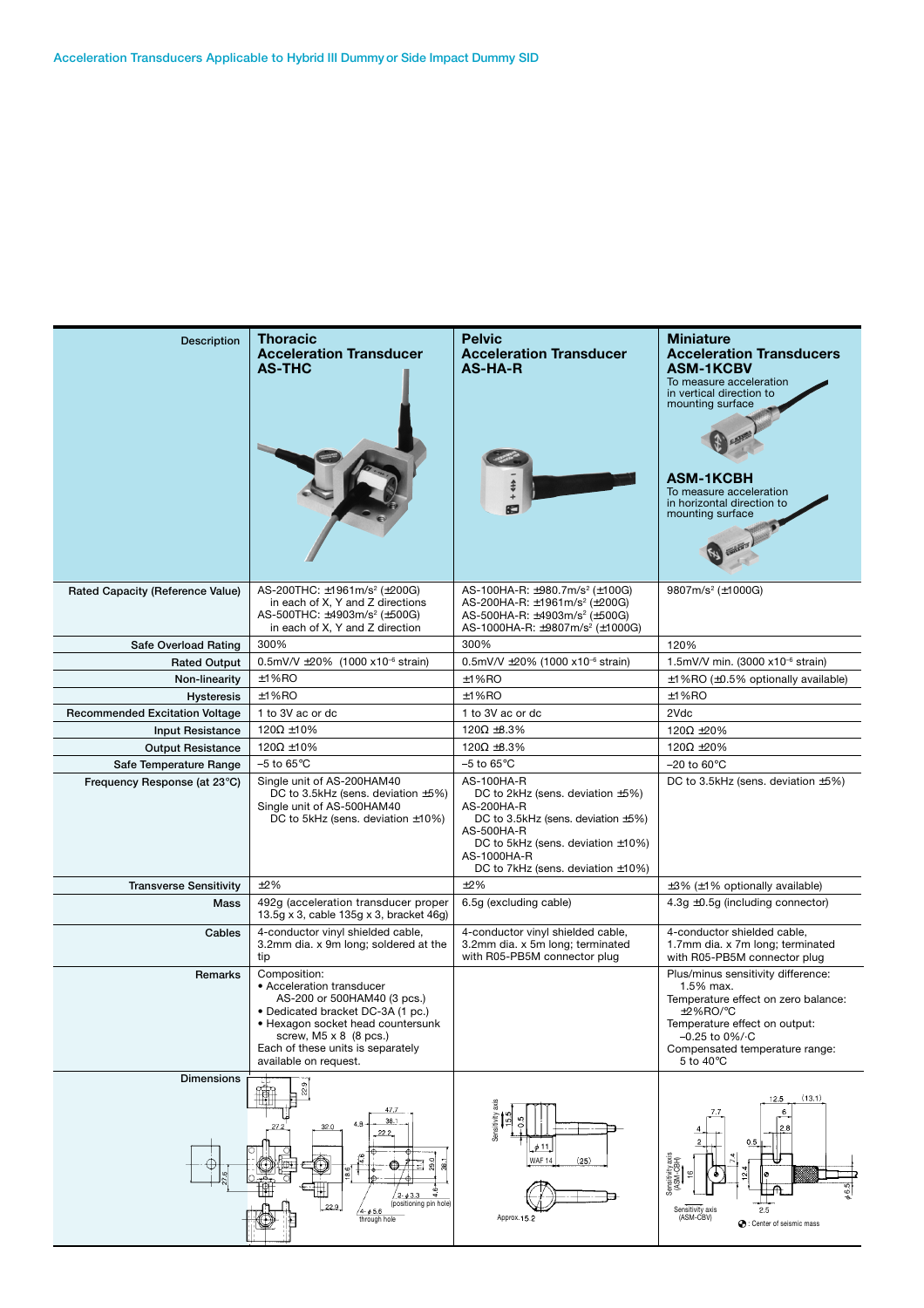| <b>Description</b>                                     | <b>Thoracic</b><br><b>Acceleration Transducer</b><br><b>AS-THC</b>                                                                                                                                                                                | <b>Pelvic</b><br><b>Acceleration Transducer</b><br><b>AS-HA-R</b>                                                                                                                                                       | <b>Miniature</b><br><b>Acceleration Transducers</b><br><b>ASM-1KCBV</b><br>To measure acceleration<br>in vertical direction to<br>mounting surface<br>ASM-1KCBH<br>To measure acceleration<br>in horizontal direction to<br>mounting surface |  |
|--------------------------------------------------------|---------------------------------------------------------------------------------------------------------------------------------------------------------------------------------------------------------------------------------------------------|-------------------------------------------------------------------------------------------------------------------------------------------------------------------------------------------------------------------------|----------------------------------------------------------------------------------------------------------------------------------------------------------------------------------------------------------------------------------------------|--|
| Rated Capacity (Reference Value)                       | AS-200THC: ±1961m/s <sup>2</sup> (±200G)<br>in each of X, Y and Z directions<br>AS-500THC: ±4903m/s <sup>2</sup> (±500G)<br>in each of X, Y and Z direction                                                                                       | AS-100HA-R: $\pm$ 980.7m/s <sup>2</sup> ( $\pm$ 100G)<br>AS-200HA-R: ±1961m/s <sup>2</sup> (±200G)<br>AS-500HA-R: ±4903m/s <sup>2</sup> (±500G)<br>AS-1000HA-R: ±9807m/s <sup>2</sup> (±1000G)                          | 9807m/s <sup>2</sup> ( $\pm$ 1000G)                                                                                                                                                                                                          |  |
| Safe Overload Rating                                   | 300%                                                                                                                                                                                                                                              | 300%                                                                                                                                                                                                                    | 120%                                                                                                                                                                                                                                         |  |
| <b>Rated Output</b>                                    | 0.5mV/V $\pm 20\%$ (1000 x10 <sup>-6</sup> strain)                                                                                                                                                                                                | 0.5mV/V $\pm$ 20% (1000 x10 <sup>-6</sup> strain)                                                                                                                                                                       | 1.5mV/V min. (3000 x10 <sup>-6</sup> strain)                                                                                                                                                                                                 |  |
| Non-linearity                                          | ±1%RO                                                                                                                                                                                                                                             | $±1%$ RO                                                                                                                                                                                                                | $\pm$ 1%RO ( $\pm$ 0.5% optionally available)                                                                                                                                                                                                |  |
| <b>Hysteresis</b>                                      | ±1%RO                                                                                                                                                                                                                                             | $±1%$ RO                                                                                                                                                                                                                | $±1%$ RO                                                                                                                                                                                                                                     |  |
| <b>Recommended Excitation Voltage</b>                  | 1 to 3V ac or dc                                                                                                                                                                                                                                  | 1 to 3V ac or dc                                                                                                                                                                                                        | 2Vdc                                                                                                                                                                                                                                         |  |
| <b>Input Resistance</b>                                | 120 $\Omega$ ±10%                                                                                                                                                                                                                                 | $120\Omega \pm 8.3\%$                                                                                                                                                                                                   | 120 $\Omega$ ±20%                                                                                                                                                                                                                            |  |
| <b>Output Resistance</b>                               | $120\Omega \pm 10\%$<br>$-5$ to $65^{\circ}$ C                                                                                                                                                                                                    | $120\Omega \pm 8.3\%$                                                                                                                                                                                                   | 120 $\Omega$ ±20%<br>$-20$ to 60 $\degree$ C                                                                                                                                                                                                 |  |
| Safe Temperature Range<br>Frequency Response (at 23°C) | Single unit of AS-200HAM40                                                                                                                                                                                                                        | $-5$ to 65 $\degree$ C<br>AS-100HA-R                                                                                                                                                                                    | DC to 3.5kHz (sens. deviation $\pm 5\%$ )                                                                                                                                                                                                    |  |
|                                                        | DC to 3.5kHz (sens. deviation $\pm 5\%$ )<br>Single unit of AS-500HAM40<br>DC to 5kHz (sens. deviation $\pm 10\%$ )                                                                                                                               | DC to 2kHz (sens. deviation $\pm 5\%$ )<br>AS-200HA-R<br>DC to 3.5kHz (sens. deviation $\pm 5\%$ )<br>AS-500HA-R<br>DC to 5kHz (sens. deviation $\pm 10\%$ )<br>AS-1000HA-R<br>DC to 7kHz (sens. deviation $\pm 10\%$ ) |                                                                                                                                                                                                                                              |  |
| <b>Transverse Sensitivity</b>                          | ±2%                                                                                                                                                                                                                                               | ±2%                                                                                                                                                                                                                     | $\pm 3\%$ ( $\pm 1\%$ optionally available)                                                                                                                                                                                                  |  |
| Mass                                                   | 492g (acceleration transducer proper<br>13.5g x 3, cable 135g x 3, bracket 46g)                                                                                                                                                                   | 6.5g (excluding cable)                                                                                                                                                                                                  | $4.3g \pm 0.5g$ (including connector)                                                                                                                                                                                                        |  |
| Cables                                                 | 4-conductor vinyl shielded cable,<br>3.2mm dia. x 9m long; soldered at the<br>tip                                                                                                                                                                 | 4-conductor vinyl shielded cable,<br>3.2mm dia. x 5m long; terminated<br>with R05-PB5M connector plug                                                                                                                   | 4-conductor shielded cable,<br>1.7mm dia. x 7m long; terminated<br>with R05-PB5M connector plug                                                                                                                                              |  |
| Remarks                                                | Composition:<br>• Acceleration transducer<br>AS-200 or 500HAM40 (3 pcs.)<br>• Dedicated bracket DC-3A (1 pc.)<br>• Hexagon socket head countersunk<br>screw, $M5 \times 8$ (8 pcs.)<br>Each of these units is separately<br>available on request. |                                                                                                                                                                                                                         | Plus/minus sensitivity difference:<br>1.5% max.<br>Temperature effect on zero balance:<br>$±2\%$ RO/ $°C$<br>Temperature effect on output:<br>$-0.25$ to 0%/ $\cdot$ C<br>Compensated temperature range:<br>5 to 40°C                        |  |
| <b>Dimensions</b>                                      | 聊<br>47.7<br>38.1<br>4.8<br>32.0<br>27.3<br>22.2<br>$2 - 43.3$<br>(positioning pin hole)<br>/4-ø5.6<br>through hole                                                                                                                               | Sensitivity<br><b>io</b><br>č<br>641<br>WAF 14<br>(25)<br>Approx.15.2                                                                                                                                                   | (13.1)<br>12.5<br>6<br>7.7<br>0.5<br>Sensitivity axis<br>(ASM-CBH)<br>Sensitivity axis<br>(ASM-CBV)<br>2.5<br>C: Center of seismic mass                                                                                                      |  |